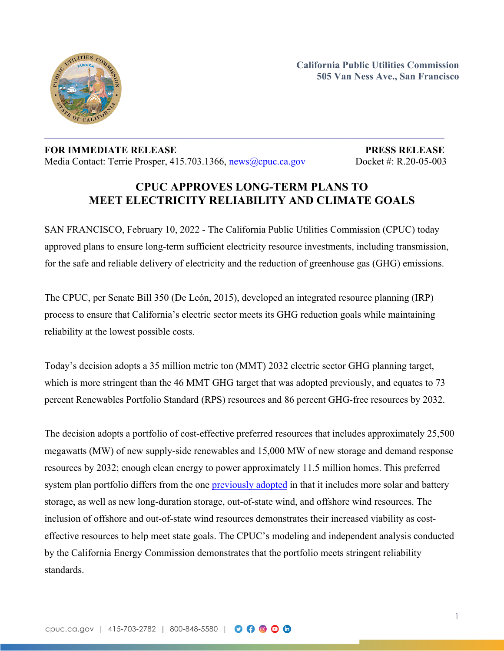

**California Public Utilities Commission 505 Van Ness Ave., San Francisco**

## **FOR IMMEDIATE RELEASE PRESS RELEASE** Media Contact: Terrie Prosper, 415.703.1366, [news@cpuc.ca.gov](mailto:news@cpuc.ca.gov) Docket #: R.20-05-003

## **CPUC APPROVES LONG-TERM PLANS TO MEET ELECTRICITY RELIABILITY AND CLIMATE GOALS**

SAN FRANCISCO, February 10, 2022 - The California Public Utilities Commission (CPUC) today approved plans to ensure long-term sufficient electricity resource investments, including transmission, for the safe and reliable delivery of electricity and the reduction of greenhouse gas (GHG) emissions.

The CPUC, per Senate Bill 350 (De León, 2015), developed an integrated resource planning (IRP) process to ensure that California's electric sector meets its GHG reduction goals while maintaining reliability at the lowest possible costs.

Today's decision adopts a 35 million metric ton (MMT) 2032 electric sector GHG planning target, which is more stringent than the 46 MMT GHG target that was adopted previously, and equates to 73 percent Renewables Portfolio Standard (RPS) resources and 86 percent GHG-free resources by 2032.

The decision adopts a portfolio of cost-effective preferred resources that includes approximately 25,500 megawatts (MW) of new supply-side renewables and 15,000 MW of new storage and demand response resources by 2032; enough clean energy to power approximately 11.5 million homes. This preferred system plan portfolio differs from the one [previously](https://docs.cpuc.ca.gov/PublishedDocs/Published/G000/M287/K437/287437887.PDF) adopted in that it includes more solar and battery storage, as well as new long-duration storage, out-of-state wind, and offshore wind resources. The inclusion of offshore and out-of-state wind resources demonstrates their increased viability as costeffective resources to help meet state goals. The CPUC's modeling and independent analysis conducted by the California Energy Commission demonstrates that the portfolio meets stringent reliability standards.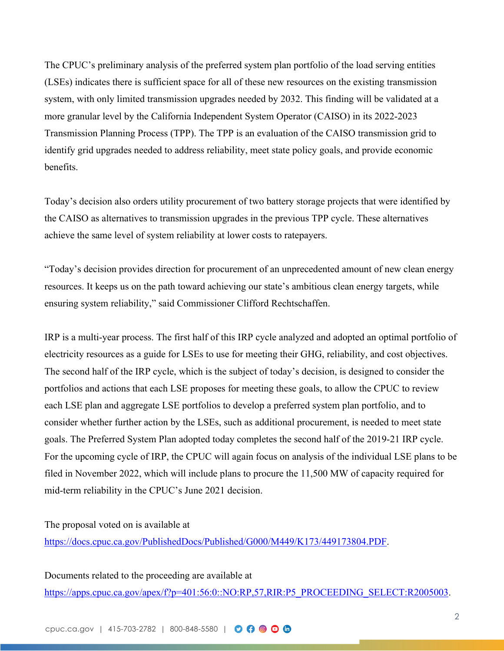The CPUC's preliminary analysis of the preferred system plan portfolio of the load serving entities (LSEs) indicates there is sufficient space for all of these new resources on the existing transmission system, with only limited transmission upgrades needed by 2032. This finding will be validated at a more granular level by the California Independent System Operator (CAISO) in its 2022-2023 Transmission Planning Process (TPP). The TPP is an evaluation of the CAISO transmission grid to identify grid upgrades needed to address reliability, meet state policy goals, and provide economic benefits.

Today's decision also orders utility procurement of two battery storage projects that were identified by the CAISO as alternatives to transmission upgrades in the previous TPP cycle. These alternatives achieve the same level of system reliability at lower costs to ratepayers.

"Today's decision provides direction for procurement of an unprecedented amount of new clean energy resources. It keeps us on the path toward achieving our state's ambitious clean energy targets, while ensuring system reliability," said Commissioner Clifford Rechtschaffen.

IRP is a multi-year process. The first half of this IRP cycle analyzed and adopted an optimal portfolio of electricity resources as a guide for LSEs to use for meeting their GHG, reliability, and cost objectives. The second half of the IRP cycle, which is the subject of today's decision, is designed to consider the portfolios and actions that each LSE proposes for meeting these goals, to allow the CPUC to review each LSE plan and aggregate LSE portfolios to develop a preferred system plan portfolio, and to consider whether further action by the LSEs, such as additional procurement, is needed to meet state goals. The Preferred System Plan adopted today completes the second half of the 2019-21 IRP cycle. For the upcoming cycle of IRP, the CPUC will again focus on analysis of the individual LSE plans to be filed in November 2022, which will include plans to procure the 11,500 MW of capacity required for mid-term reliability in the CPUC's June 2021 decision.

The proposal voted on is available at

[https://docs.cpuc.ca.gov/PublishedDocs/Published/G000/M449/K173/449173804.PDF.](https://docs.cpuc.ca.gov/PublishedDocs/Published/G000/M449/K173/449173804.PDF)

Documents related to the proceeding are available at

[https://apps.cpuc.ca.gov/apex/f?p=401:56:0::NO:RP,57,RIR:P5\\_PROCEEDING\\_SELECT:R2005003](https://apps.cpuc.ca.gov/apex/f?p=401:56:0::NO:RP,57,RIR:P5_PROCEEDING_SELECT:R2005003).